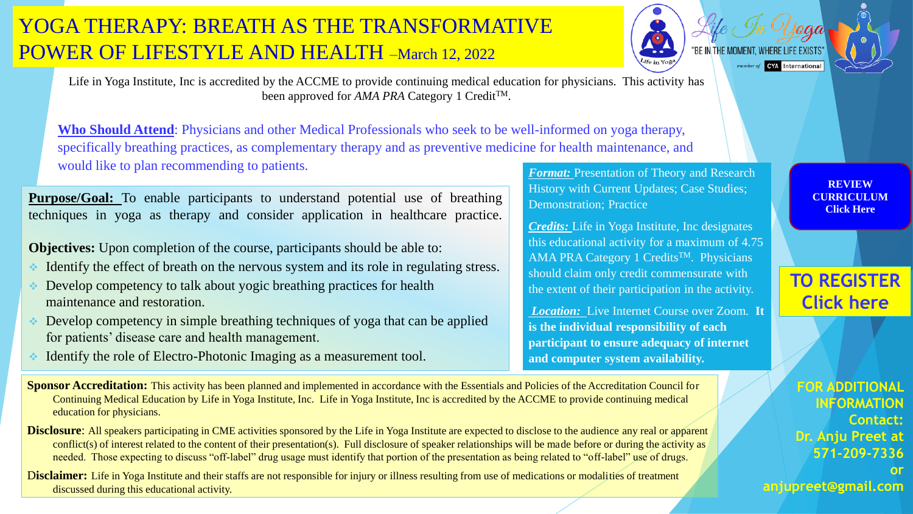*Format:* Presentation of Theory and Research History with Current Updates; Case Studies; Demonstration; Practice

*Credits:* Life in Yoga Institute, Inc designates this educational activity for a maximum of 4.75 AMA PRA Category 1 Credits<sup>TM</sup>. Physicians should claim only credit commensurate with the extent of their participation in the activity.

*Location:* Live Internet Course over Zoom. **It is the individual responsibility of each participant to ensure adequacy of internet and computer system availability.**

**Purpose/Goal:** To enable participants to understand potential use of breathing techniques in yoga as therapy and consider application in healthcare practice.

**Objectives:** Upon completion of the course, participants should be able to:

**Who Should Attend**: Physicians and other Medical Professionals who seek to be well-informed on yoga therapy, specifically breathing practices, as complementary therapy and as preventive medicine for health maintenance, and would like to plan recommending to patients.

- Identify the effect of breath on the nervous system and its role in regulating stress.
- Develop competency to talk about yogic breathing practices for health maintenance and restoration.
- Develop competency in simple breathing techniques of yoga that can be applied for patients' disease care and health management.
- ❖ Identify the role of Electro-Photonic Imaging as a measurement tool.

**Sponsor Accreditation:** This activity has been planned and implemented in accordance with the Essentials and Policies of the Accreditation Council for Continuing Medical Education by Life in Yoga Institute, Inc. Life in Yoga Institute, Inc is accredited by the ACCME to provide continuing medical education for physicians.

**Disclosure**: All speakers participating in CME activities sponsored by the Life in Yoga Institute are expected to disclose to the audience any real or apparent conflict(s) of interest related to the content of their presentation(s). Full disclosure of speaker relationships will be made before or during the activity as needed. Those expecting to discuss "off-label" drug usage must identify that portion of the presentation as being related to "off-label" use of drugs.

Disclaimer: Life in Yoga Institute and their staffs are not responsible for injury or illness resulting from use of medications or modalities of treatment discussed during this educational activity.

Life in Yoga Institute, Inc is accredited by the ACCME to provide continuing medical education for physicians. This activity has been approved for *AMA PRA* Category 1 Credit<sup>TM</sup>.



**FOR ADDITIONAL INFORMATION Contact: Dr. Anju Preet at 571-209-7336 or anjupreet@gmail.com**

# YOGA THERAPY: BREATH AS THE TRANSFORMATIVE POWER OF LIFESTYLE AND HEALTH –March 12, 2022



**REVIEW [CURRICULUM](http://lifeinyoga.org/App_Downloads/CurriculumMar2022.pdf) Click Here**

## **[TO REGISTER](https://us02web.zoom.us/webinar/register/WN_uhOayZZ9Q6OKvxB5U5O7CA) Click here**